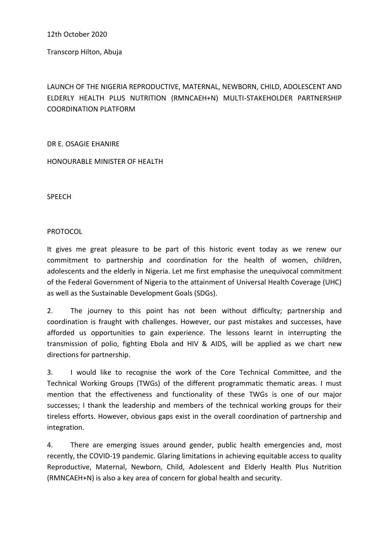12th October 2020

Transcorp Hilton, Abuja

LAUNCH OF THE NIGERIA REPRODUCTIVE, MATERNAL, NEWBORN, CHILD, ADOLESCENT AND ELDERLY HEALTH PLUS NUTRITION (RMNCAEH+N) MULTI-STAKEHOLDER PARTNERSHIP COORDINATION PLATFORM

DR E. OSAGIE EHANIRE

HONOURABLE MINISTER OF HEALTH

SPEECH

PROTOCOL

It gives me great pleasure to be part of this historic event today as we renew our commitment to partnership and coordination for the health of women, children, adolescents and the elderly in Nigeria. Let me first emphasise the unequivocal commitment of the Federal Government of Nigeria to the attainment of Universal Health Coverage (UHC) as well as the Sustainable Development Goals (SDGs).

2. The journey to this point has not been without difficulty; partnership and coordination is fraught with challenges. However, our past mistakes and successes, have afforded us opportunities to gain experience. The lessons learnt in interrupting the transmission of polio, fighting Ebola and HIV & AIDS, will be applied as we chart new directions for partnership.

3. I would like to recognise the work of the Core Technical Committee, and the Technical Working Groups (TWGs) of the different programmatic thematic areas. I must mention that the effectiveness and functionality of these TWGs is one of our major successes; I thank the leadership and members of the technical working groups for their tireless efforts. However, obvious gaps exist in the overall coordination of partnership and integration.

4. There are emerging issues around gender, public health emergencies and, most recently, the COVID-19 pandemic. Glaring limitations in achieving equitable access to quality Reproductive, Maternal, Newborn, Child, Adolescent and Elderly Health Plus Nutrition (RMNCAEH+N) is also a key area of concern for global health and security.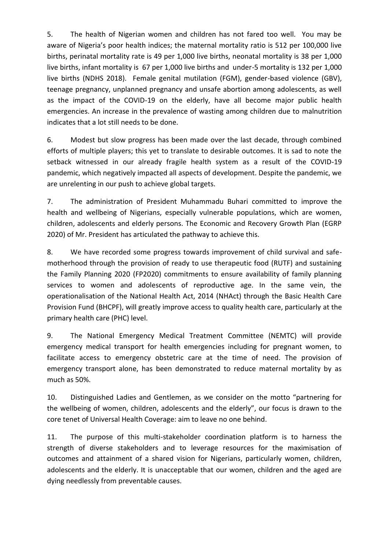5. The health of Nigerian women and children has not fared too well. You may be aware of Nigeria's poor health indices; the maternal mortality ratio is 512 per 100,000 live births, perinatal mortality rate is 49 per 1,000 live births, neonatal mortality is 38 per 1,000 live births, infant mortality is 67 per 1,000 live births and under-5 mortality is 132 per 1,000 live births (NDHS 2018). Female genital mutilation (FGM), gender-based violence (GBV), teenage pregnancy, unplanned pregnancy and unsafe abortion among adolescents, as well as the impact of the COVID-19 on the elderly, have all become major public health emergencies. An increase in the prevalence of wasting among children due to malnutrition indicates that a lot still needs to be done.

6. Modest but slow progress has been made over the last decade, through combined efforts of multiple players; this yet to translate to desirable outcomes. It is sad to note the setback witnessed in our already fragile health system as a result of the COVID-19 pandemic, which negatively impacted all aspects of development. Despite the pandemic, we are unrelenting in our push to achieve global targets.

7. The administration of President Muhammadu Buhari committed to improve the health and wellbeing of Nigerians, especially vulnerable populations, which are women, children, adolescents and elderly persons. The Economic and Recovery Growth Plan (EGRP 2020) of Mr. President has articulated the pathway to achieve this.

8. We have recorded some progress towards improvement of child survival and safemotherhood through the provision of ready to use therapeutic food (RUTF) and sustaining the Family Planning 2020 (FP2020) commitments to ensure availability of family planning services to women and adolescents of reproductive age. In the same vein, the operationalisation of the National Health Act, 2014 (NHAct) through the Basic Health Care Provision Fund (BHCPF), will greatly improve access to quality health care, particularly at the primary health care (PHC) level.

9. The National Emergency Medical Treatment Committee (NEMTC) will provide emergency medical transport for health emergencies including for pregnant women, to facilitate access to emergency obstetric care at the time of need. The provision of emergency transport alone, has been demonstrated to reduce maternal mortality by as much as 50%.

10. Distinguished Ladies and Gentlemen, as we consider on the motto "partnering for the wellbeing of women, children, adolescents and the elderly", our focus is drawn to the core tenet of Universal Health Coverage: aim to leave no one behind.

11. The purpose of this multi-stakeholder coordination platform is to harness the strength of diverse stakeholders and to leverage resources for the maximisation of outcomes and attainment of a shared vision for Nigerians, particularly women, children, adolescents and the elderly. It is unacceptable that our women, children and the aged are dying needlessly from preventable causes.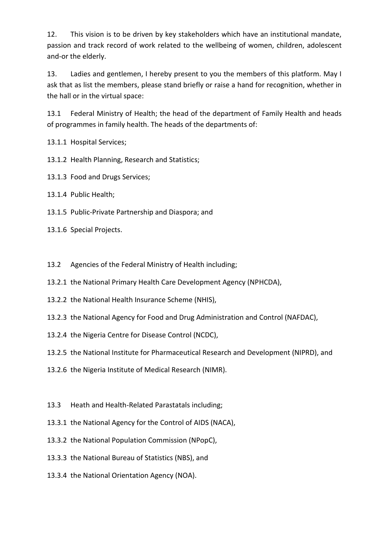12. This vision is to be driven by key stakeholders which have an institutional mandate, passion and track record of work related to the wellbeing of women, children, adolescent and-or the elderly.

13. Ladies and gentlemen, I hereby present to you the members of this platform. May I ask that as list the members, please stand briefly or raise a hand for recognition, whether in the hall or in the virtual space:

13.1 Federal Ministry of Health; the head of the department of Family Health and heads of programmes in family health. The heads of the departments of:

13.1.1 Hospital Services;

13.1.2 Health Planning, Research and Statistics;

13.1.3 Food and Drugs Services;

13.1.4 Public Health;

13.1.5 Public-Private Partnership and Diaspora; and

13.1.6 Special Projects.

13.2 Agencies of the Federal Ministry of Health including;

13.2.1 the National Primary Health Care Development Agency (NPHCDA),

- 13.2.2 the National Health Insurance Scheme (NHIS),
- 13.2.3 the National Agency for Food and Drug Administration and Control (NAFDAC),
- 13.2.4 the Nigeria Centre for Disease Control (NCDC),
- 13.2.5 the National Institute for Pharmaceutical Research and Development (NIPRD), and
- 13.2.6 the Nigeria Institute of Medical Research (NIMR).
- 13.3 Heath and Health-Related Parastatals including;
- 13.3.1 the National Agency for the Control of AIDS (NACA),
- 13.3.2 the National Population Commission (NPopC),
- 13.3.3 the National Bureau of Statistics (NBS), and
- 13.3.4 the National Orientation Agency (NOA).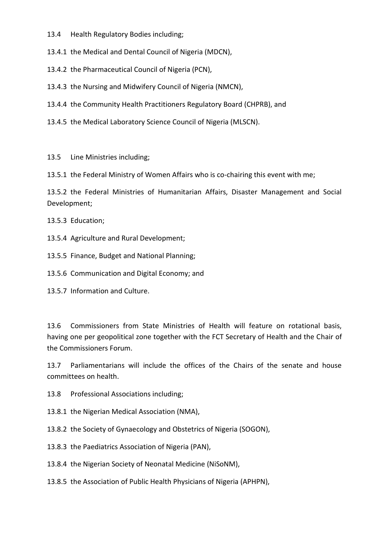- 13.4 Health Regulatory Bodies including;
- 13.4.1 the Medical and Dental Council of Nigeria (MDCN),
- 13.4.2 the Pharmaceutical Council of Nigeria (PCN),
- 13.4.3 the Nursing and Midwifery Council of Nigeria (NMCN),
- 13.4.4 the Community Health Practitioners Regulatory Board (CHPRB), and
- 13.4.5 the Medical Laboratory Science Council of Nigeria (MLSCN).

## 13.5 Line Ministries including;

13.5.1 the Federal Ministry of Women Affairs who is co-chairing this event with me;

13.5.2 the Federal Ministries of Humanitarian Affairs, Disaster Management and Social Development;

13.5.3 Education;

13.5.4 Agriculture and Rural Development;

13.5.5 Finance, Budget and National Planning;

13.5.6 Communication and Digital Economy; and

13.5.7 Information and Culture.

13.6 Commissioners from State Ministries of Health will feature on rotational basis, having one per geopolitical zone together with the FCT Secretary of Health and the Chair of the Commissioners Forum.

13.7 Parliamentarians will include the offices of the Chairs of the senate and house committees on health.

13.8 Professional Associations including;

13.8.1 the Nigerian Medical Association (NMA),

13.8.2 the Society of Gynaecology and Obstetrics of Nigeria (SOGON),

13.8.3 the Paediatrics Association of Nigeria (PAN),

13.8.4 the Nigerian Society of Neonatal Medicine (NiSoNM),

13.8.5 the Association of Public Health Physicians of Nigeria (APHPN),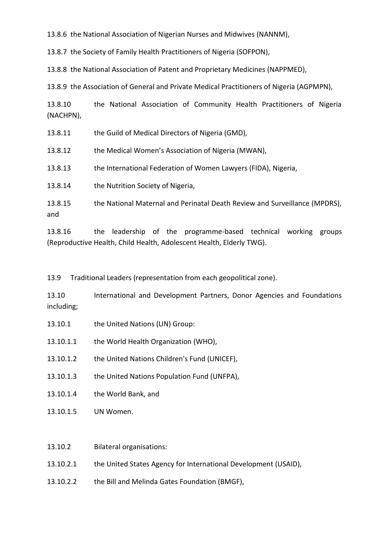13.8.6 the National Association of Nigerian Nurses and Midwives (NANNM),

13.8.7 the Society of Family Health Practitioners of Nigeria (SOFPON),

13.8.8 the National Association of Patent and Proprietary Medicines (NAPPMED),

13.8.9 the Association of General and Private Medical Practitioners of Nigeria (AGPMPN),

13.8.10 the National Association of Community Health Practitioners of Nigeria (NACHPN),

13.8.11 the Guild of Medical Directors of Nigeria (GMD),

13.8.12 the Medical Women's Association of Nigeria (MWAN),

13.8.13 the International Federation of Women Lawyers (FIDA), Nigeria,

13.8.14 the Nutrition Society of Nigeria,

13.8.15 the National Maternal and Perinatal Death Review and Surveillance (MPDRS), and

13.8.16 the leadership of the programme-based technical working groups (Reproductive Health, Child Health, Adolescent Health, Elderly TWG).

13.9 Traditional Leaders (representation from each geopolitical zone).

13.10 International and Development Partners, Donor Agencies and Foundations including;

- 13.10.1 the United Nations (UN) Group:
- 13.10.1.1 the World Health Organization (WHO),
- 13.10.1.2 the United Nations Children's Fund (UNICEF),
- 13.10.1.3 the United Nations Population Fund (UNFPA),
- 13.10.1.4 the World Bank, and
- 13.10.1.5 UN Women.
- 13.10.2 Bilateral organisations:
- 13.10.2.1 the United States Agency for International Development (USAID),
- 13.10.2.2 the Bill and Melinda Gates Foundation (BMGF),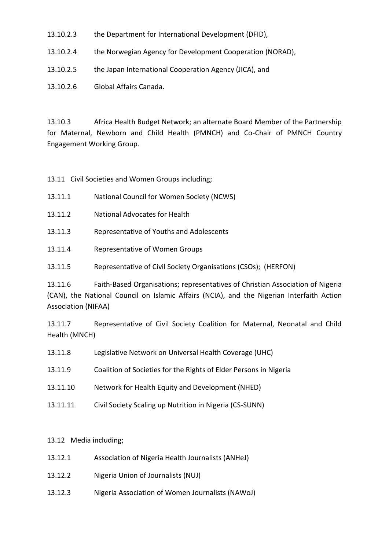- 13.10.2.3 the Department for International Development (DFID),
- 13.10.2.4 the Norwegian Agency for Development Cooperation (NORAD),
- 13.10.2.5 the Japan International Cooperation Agency (JICA), and
- 13.10.2.6 Global Affairs Canada.

13.10.3 Africa Health Budget Network; an alternate Board Member of the Partnership for Maternal, Newborn and Child Health (PMNCH) and Co-Chair of PMNCH Country Engagement Working Group.

13.11 Civil Societies and Women Groups including;

- 13.11.1 National Council for Women Society (NCWS)
- 13.11.2 National Advocates for Health
- 13.11.3 Representative of Youths and Adolescents
- 13.11.4 Representative of Women Groups
- 13.11.5 Representative of Civil Society Organisations (CSOs); (HERFON)

13.11.6 Faith-Based Organisations; representatives of Christian Association of Nigeria (CAN), the National Council on Islamic Affairs (NCIA), and the Nigerian Interfaith Action Association (NIFAA)

13.11.7 Representative of Civil Society Coalition for Maternal, Neonatal and Child Health (MNCH)

- 13.11.8 Legislative Network on Universal Health Coverage (UHC)
- 13.11.9 Coalition of Societies for the Rights of Elder Persons in Nigeria
- 13.11.10 Network for Health Equity and Development (NHED)
- 13.11.11 Civil Society Scaling up Nutrition in Nigeria (CS-SUNN)

## 13.12 Media including;

- 13.12.1 Association of Nigeria Health Journalists (ANHeJ)
- 13.12.2 Nigeria Union of Journalists (NUJ)
- 13.12.3 Nigeria Association of Women Journalists (NAWoJ)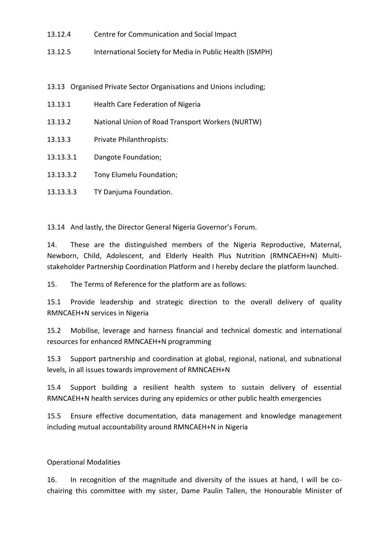- 13.12.4 Centre for Communication and Social Impact
- 13.12.5 International Society for Media in Public Health (ISMPH)
- 13.13 Organised Private Sector Organisations and Unions including;
- 13.13.1 Health Care Federation of Nigeria
- 13.13.2 National Union of Road Transport Workers (NURTW)
- 13.13.3 Private Philanthropists:
- 13.13.3.1 Dangote Foundation;
- 13.13.3.2 Tony Elumelu Foundation;
- 13.13.3.3 TY Danjuma Foundation.

13.14 And lastly, the Director General Nigeria Governor's Forum.

14. These are the distinguished members of the Nigeria Reproductive, Maternal, Newborn, Child, Adolescent, and Elderly Health Plus Nutrition (RMNCAEH+N) Multistakeholder Partnership Coordination Platform and I hereby declare the platform launched.

15. The Terms of Reference for the platform are as follows:

15.1 Provide leadership and strategic direction to the overall delivery of quality RMNCAEH+N services in Nigeria

15.2 Mobilise, leverage and harness financial and technical domestic and international resources for enhanced RMNCAEH+N programming

15.3 Support partnership and coordination at global, regional, national, and subnational levels, in all issues towards improvement of RMNCAEH+N

15.4 Support building a resilient health system to sustain delivery of essential RMNCAEH+N health services during any epidemics or other public health emergencies

15.5 Ensure effective documentation, data management and knowledge management including mutual accountability around RMNCAEH+N in Nigeria

## Operational Modalities

16. In recognition of the magnitude and diversity of the issues at hand, I will be cochairing this committee with my sister, Dame Paulin Tallen, the Honourable Minister of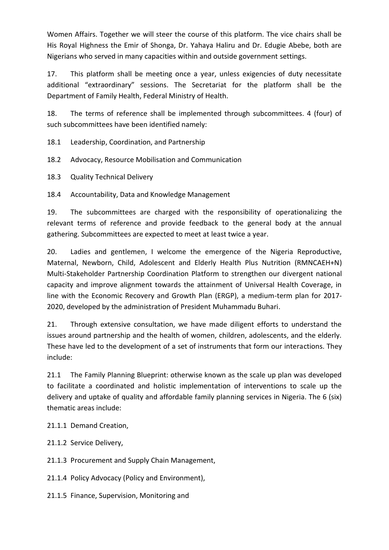Women Affairs. Together we will steer the course of this platform. The vice chairs shall be His Royal Highness the Emir of Shonga, Dr. Yahaya Haliru and Dr. Edugie Abebe, both are Nigerians who served in many capacities within and outside government settings.

17. This platform shall be meeting once a year, unless exigencies of duty necessitate additional "extraordinary" sessions. The Secretariat for the platform shall be the Department of Family Health, Federal Ministry of Health.

18. The terms of reference shall be implemented through subcommittees. 4 (four) of such subcommittees have been identified namely:

18.1 Leadership, Coordination, and Partnership

18.2 Advocacy, Resource Mobilisation and Communication

18.3 Quality Technical Delivery

18.4 Accountability, Data and Knowledge Management

19. The subcommittees are charged with the responsibility of operationalizing the relevant terms of reference and provide feedback to the general body at the annual gathering. Subcommittees are expected to meet at least twice a year.

20. Ladies and gentlemen, I welcome the emergence of the Nigeria Reproductive, Maternal, Newborn, Child, Adolescent and Elderly Health Plus Nutrition (RMNCAEH+N) Multi-Stakeholder Partnership Coordination Platform to strengthen our divergent national capacity and improve alignment towards the attainment of Universal Health Coverage, in line with the Economic Recovery and Growth Plan (ERGP), a medium-term plan for 2017- 2020, developed by the administration of President Muhammadu Buhari.

21. Through extensive consultation, we have made diligent efforts to understand the issues around partnership and the health of women, children, adolescents, and the elderly. These have led to the development of a set of instruments that form our interactions. They include:

21.1 The Family Planning Blueprint: otherwise known as the scale up plan was developed to facilitate a coordinated and holistic implementation of interventions to scale up the delivery and uptake of quality and affordable family planning services in Nigeria. The 6 (six) thematic areas include:

21.1.1 Demand Creation,

21.1.2 Service Delivery,

21.1.3 Procurement and Supply Chain Management,

21.1.4 Policy Advocacy (Policy and Environment),

21.1.5 Finance, Supervision, Monitoring and